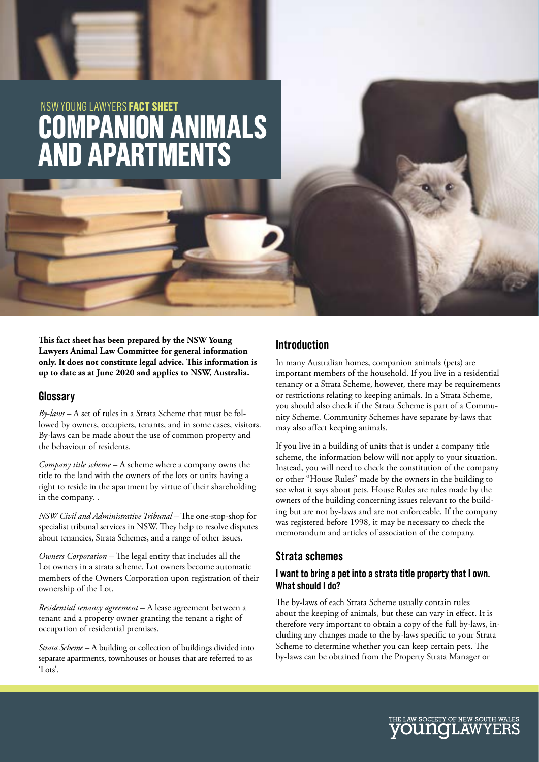# **COMPANION ANIMALS AND APARTMENTS** NSW YOUNG LAWYERS **FACT SHEET**

**This fact sheet has been prepared by the NSW Young Lawyers Animal Law Committee for general information only. It does not constitute legal advice. This information is up to date as at June 2020 and applies to NSW, Australia.**

### **Glossary**

*By-laws –* A set of rules in a Strata Scheme that must be followed by owners, occupiers, tenants, and in some cases, visitors. By-laws can be made about the use of common property and the behaviour of residents.

*Company title scheme* – A scheme where a company owns the title to the land with the owners of the lots or units having a right to reside in the apartment by virtue of their shareholding in the company. .

*NSW Civil and Administrative Tribunal –* The one-stop-shop for specialist tribunal services in NSW. They help to resolve disputes about tenancies, Strata Schemes, and a range of other issues.

*Owners Corporation –* The legal entity that includes all the Lot owners in a strata scheme. Lot owners become automatic members of the Owners Corporation upon registration of their ownership of the Lot.

*Residential tenancy agreement* – A lease agreement between a tenant and a property owner granting the tenant a right of occupation of residential premises.

*Strata Scheme* – A building or collection of buildings divided into separate apartments, townhouses or houses that are referred to as 'Lots'.

# **Introduction**

In many Australian homes, companion animals (pets) are important members of the household. If you live in a residential tenancy or a Strata Scheme, however, there may be requirements or restrictions relating to keeping animals. In a Strata Scheme, you should also check if the Strata Scheme is part of a Community Scheme. Community Schemes have separate by-laws that may also affect keeping animals.

If you live in a building of units that is under a company title scheme, the information below will not apply to your situation. Instead, you will need to check the constitution of the company or other "House Rules" made by the owners in the building to see what it says about pets. House Rules are rules made by the owners of the building concerning issues relevant to the building but are not by-laws and are not enforceable. If the company was registered before 1998, it may be necessary to check the memorandum and articles of association of the company.

# **Strata schemes**

#### **I want to bring a pet into a strata title property that I own. What should I do?**

The by-laws of each Strata Scheme usually contain rules about the keeping of animals, but these can vary in effect. It is therefore very important to obtain a copy of the full by-laws, including any changes made to the by-laws specific to your Strata Scheme to determine whether you can keep certain pets. The by-laws can be obtained from the Property Strata Manager or

E LAW SOCIETY OF NEW SOUTH WALES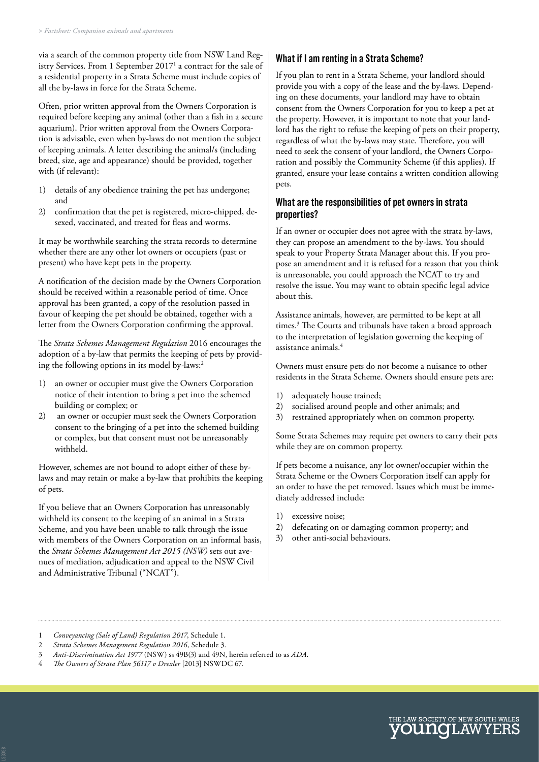via a search of the common property title from NSW Land Registry Services. From 1 September 2017<sup>1</sup> a contract for the sale of a residential property in a Strata Scheme must include copies of all the by-laws in force for the Strata Scheme.

Often, prior written approval from the Owners Corporation is required before keeping any animal (other than a fish in a secure aquarium). Prior written approval from the Owners Corporation is advisable, even when by-laws do not mention the subject of keeping animals. A letter describing the animal/s (including breed, size, age and appearance) should be provided, together with (if relevant):

- 1) details of any obedience training the pet has undergone; and
- 2) confirmation that the pet is registered, micro-chipped, desexed, vaccinated, and treated for fleas and worms.

It may be worthwhile searching the strata records to determine whether there are any other lot owners or occupiers (past or present) who have kept pets in the property.

A notification of the decision made by the Owners Corporation should be received within a reasonable period of time. Once approval has been granted, a copy of the resolution passed in favour of keeping the pet should be obtained, together with a letter from the Owners Corporation confirming the approval.

The *Strata Schemes Management Regulation* 2016 encourages the adoption of a by-law that permits the keeping of pets by providing the following options in its model by-laws:<sup>2</sup>

- 1) an owner or occupier must give the Owners Corporation notice of their intention to bring a pet into the schemed building or complex; or
- 2) an owner or occupier must seek the Owners Corporation consent to the bringing of a pet into the schemed building or complex, but that consent must not be unreasonably withheld.

However, schemes are not bound to adopt either of these bylaws and may retain or make a by-law that prohibits the keeping of pets.

If you believe that an Owners Corporation has unreasonably withheld its consent to the keeping of an animal in a Strata Scheme, and you have been unable to talk through the issue with members of the Owners Corporation on an informal basis, the *Strata Schemes Management Act 2015 (NSW)* sets out avenues of mediation, adjudication and appeal to the NSW Civil and Administrative Tribunal ("NCAT").

## **What if I am renting in a Strata Scheme?**

If you plan to rent in a Strata Scheme, your landlord should provide you with a copy of the lease and the by-laws. Depending on these documents, your landlord may have to obtain consent from the Owners Corporation for you to keep a pet at the property. However, it is important to note that your landlord has the right to refuse the keeping of pets on their property, regardless of what the by-laws may state. Therefore, you will need to seek the consent of your landlord, the Owners Corporation and possibly the Community Scheme (if this applies). If granted, ensure your lease contains a written condition allowing pets.

#### **What are the responsibilities of pet owners in strata properties?**

If an owner or occupier does not agree with the strata by-laws, they can propose an amendment to the by-laws. You should speak to your Property Strata Manager about this. If you propose an amendment and it is refused for a reason that you think is unreasonable, you could approach the NCAT to try and resolve the issue. You may want to obtain specific legal advice about this.

Assistance animals, however, are permitted to be kept at all times.3 The Courts and tribunals have taken a broad approach to the interpretation of legislation governing the keeping of assistance animals.4

Owners must ensure pets do not become a nuisance to other residents in the Strata Scheme. Owners should ensure pets are:

- 1) adequately house trained;
- 2) socialised around people and other animals; and
- 3) restrained appropriately when on common property.

Some Strata Schemes may require pet owners to carry their pets while they are on common property.

If pets become a nuisance, any lot owner/occupier within the Strata Scheme or the Owners Corporation itself can apply for an order to have the pet removed. Issues which must be immediately addressed include:

- 1) excessive noise;
- 2) defecating on or damaging common property; and
- 3) other anti-social behaviours.



<sup>1</sup> *Conveyancing (Sale of Land) Regulation 2017*, Schedule 1.

<sup>2</sup> *Strata Schemes Management Regulation 2016,* Schedule 3.

<sup>3</sup> *Anti-Discrimination Act 1977* (NSW) ss 49B(3) and 49N, herein referred to as *ADA*.

<sup>4</sup> *The Owners of Strata Plan 56117 v Drexler* [2013] NSWDC 67.